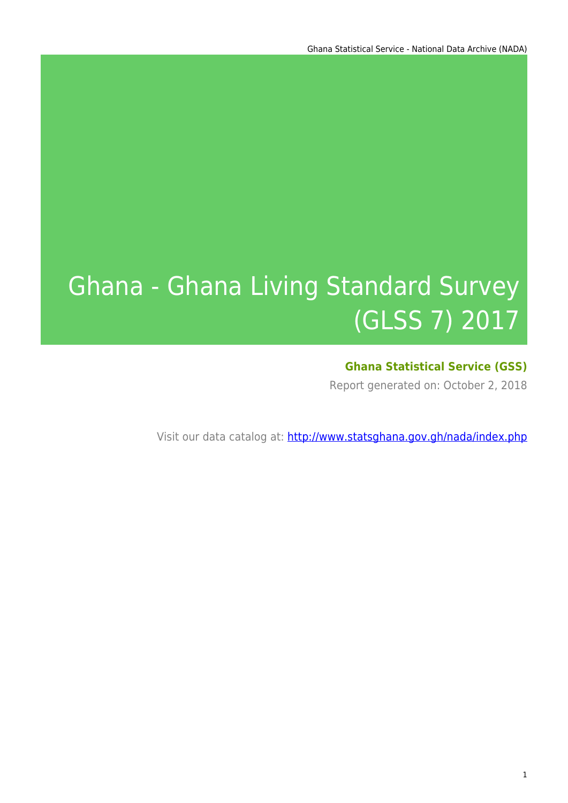# Ghana - Ghana Living Standard Survey (GLSS 7) 2017

### **Ghana Statistical Service (GSS)**

Report generated on: October 2, 2018

Visit our data catalog at: http://www.statsghana.gov.gh/nada/index.php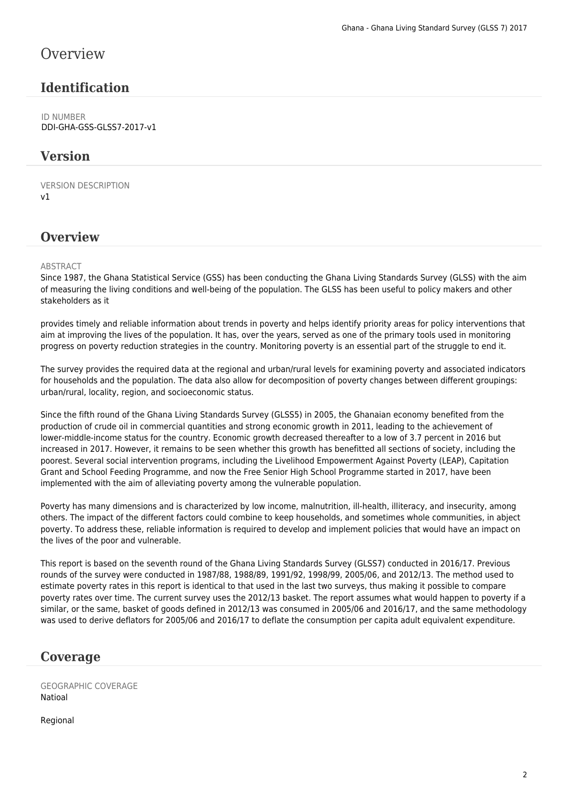### **Overview**

### **Identification**

ID NUMBER DDI-GHA-GSS-GLSS7-2017-v1

### **Version**

VERSION DESCRIPTION v1

### **Overview**

#### ABSTRACT

Since 1987, the Ghana Statistical Service (GSS) has been conducting the Ghana Living Standards Survey (GLSS) with the aim of measuring the living conditions and well-being of the population. The GLSS has been useful to policy makers and other stakeholders as it

provides timely and reliable information about trends in poverty and helps identify priority areas for policy interventions that aim at improving the lives of the population. It has, over the years, served as one of the primary tools used in monitoring progress on poverty reduction strategies in the country. Monitoring poverty is an essential part of the struggle to end it.

The survey provides the required data at the regional and urban/rural levels for examining poverty and associated indicators for households and the population. The data also allow for decomposition of poverty changes between different groupings: urban/rural, locality, region, and socioeconomic status.

Since the fifth round of the Ghana Living Standards Survey (GLSS5) in 2005, the Ghanaian economy benefited from the production of crude oil in commercial quantities and strong economic growth in 2011, leading to the achievement of lower-middle-income status for the country. Economic growth decreased thereafter to a low of 3.7 percent in 2016 but increased in 2017. However, it remains to be seen whether this growth has benefitted all sections of society, including the poorest. Several social intervention programs, including the Livelihood Empowerment Against Poverty (LEAP), Capitation Grant and School Feeding Programme, and now the Free Senior High School Programme started in 2017, have been implemented with the aim of alleviating poverty among the vulnerable population.

Poverty has many dimensions and is characterized by low income, malnutrition, ill-health, illiteracy, and insecurity, among others. The impact of the different factors could combine to keep households, and sometimes whole communities, in abject poverty. To address these, reliable information is required to develop and implement policies that would have an impact on the lives of the poor and vulnerable.

This report is based on the seventh round of the Ghana Living Standards Survey (GLSS7) conducted in 2016/17. Previous rounds of the survey were conducted in 1987/88, 1988/89, 1991/92, 1998/99, 2005/06, and 2012/13. The method used to estimate poverty rates in this report is identical to that used in the last two surveys, thus making it possible to compare poverty rates over time. The current survey uses the 2012/13 basket. The report assumes what would happen to poverty if a similar, or the same, basket of goods defined in 2012/13 was consumed in 2005/06 and 2016/17, and the same methodology was used to derive deflators for 2005/06 and 2016/17 to deflate the consumption per capita adult equivalent expenditure.

### **Coverage**

GEOGRAPHIC COVERAGE Natioal

Regional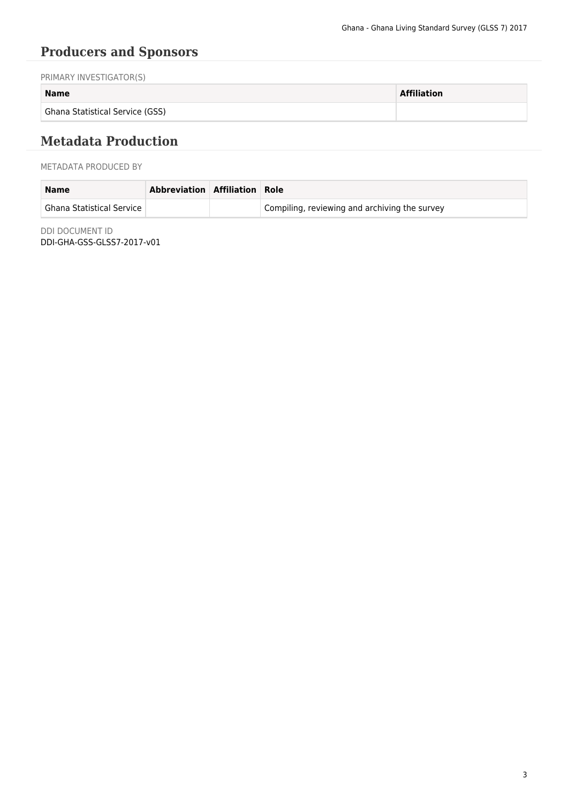# **Producers and Sponsors**

PRIMARY INVESTIGATOR(S)

#### **Name Affiliation**

Ghana Statistical Service (GSS)

## **Metadata Production**

#### METADATA PRODUCED BY

| <b>Name</b>                   | Abbreviation Affiliation Role |                                               |
|-------------------------------|-------------------------------|-----------------------------------------------|
| † Ghana Statistical Service ⊺ |                               | Compiling, reviewing and archiving the survey |

DDI DOCUMENT ID DDI-GHA-GSS-GLSS7-2017-v01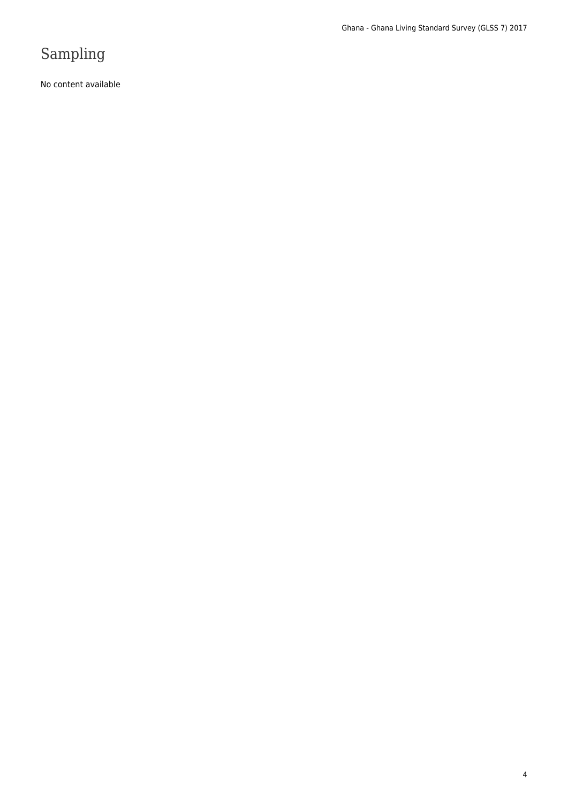# Sampling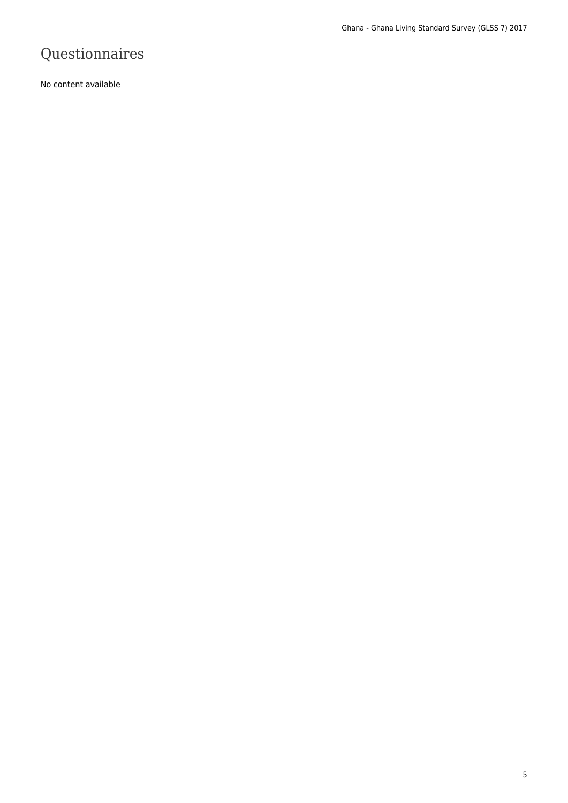# Questionnaires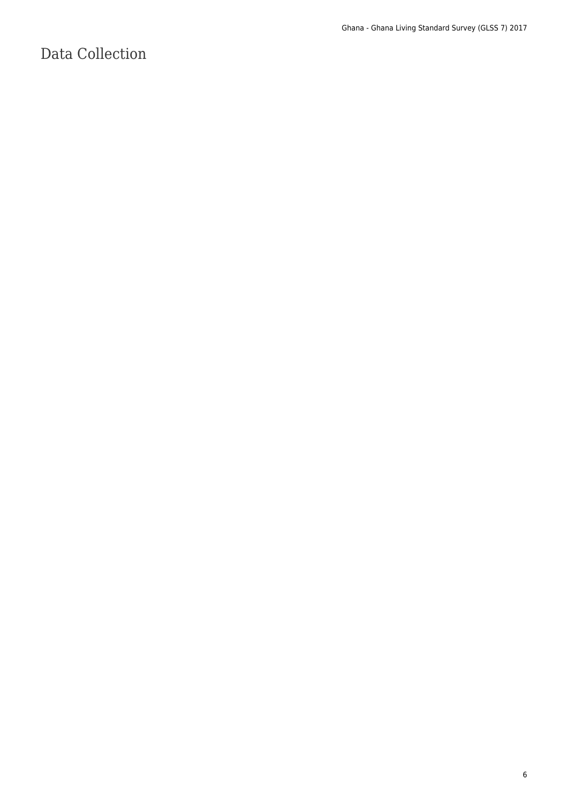# Data Collection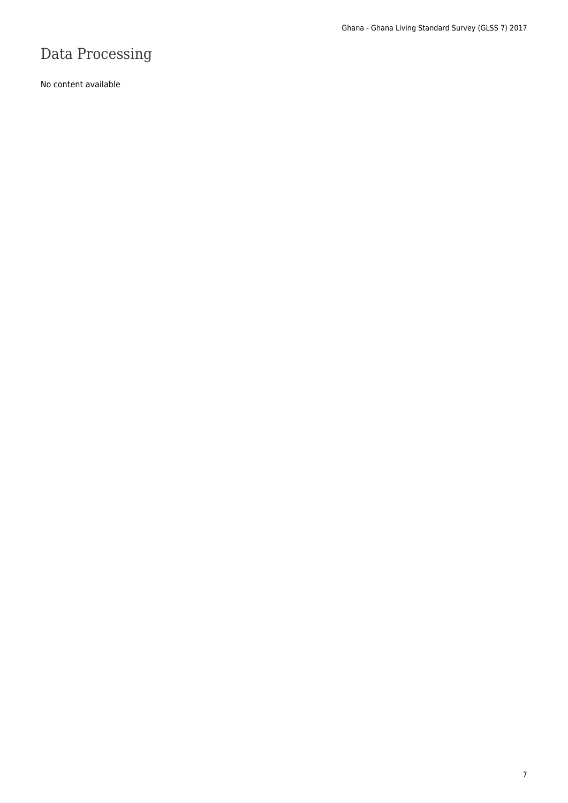# Data Processing